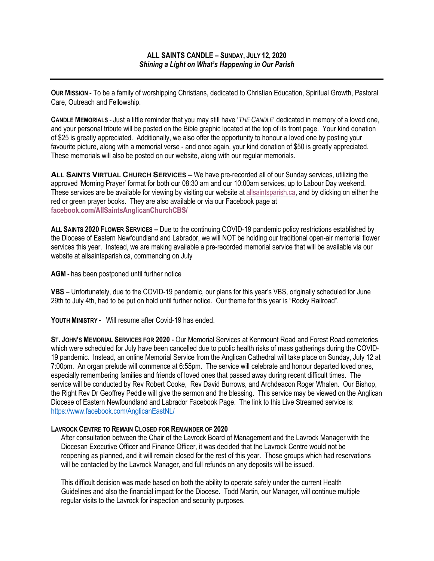**OUR MISSION -** To be a family of worshipping Christians, dedicated to Christian Education, Spiritual Growth, Pastoral Care, Outreach and Fellowship.

**CANDLE MEMORIALS** - Just a little reminder that you may still have '*THE CANDLE*' dedicated in memory of a loved one, and your personal tribute will be posted on the Bible graphic located at the top of its front page. Your kind donation of \$25 is greatly appreciated. Additionally, we also offer the opportunity to honour a loved one by posting your favourite picture, along with a memorial verse - and once again, your kind donation of \$50 is greatly appreciated. These memorials will also be posted on our website, along with our regular memorials.

**ALL SAINTS VIRTUAL CHURCH SERVICES –** We have pre-recorded all of our Sunday services, utilizing the approved 'Morning Prayer' format for both our 08:30 am and our 10:00am services, up to Labour Day weekend. These services are be available for viewing by visiting our website at allsaintsparish.ca, and by clicking on either the red or green prayer books. They are also available or via our Facebook page at **facebook.com/AllSaintsAnglicanChurchCBS/**

**ALL SAINTS 2020 FLOWER SERVICES –** Due to the continuing COVID-19 pandemic policy restrictions established by the Diocese of Eastern Newfoundland and Labrador, we will NOT be holding our traditional open-air memorial flower services this year. Instead, we are making available a pre-recorded memorial service that will be available via our website at allsaintsparish.ca, commencing on July

**AGM -** has been postponed until further notice

**VBS** – Unfortunately, due to the COVID-19 pandemic, our plans for this year's VBS, originally scheduled for June 29th to July 4th, had to be put on hold until further notice. Our theme for this year is "Rocky Railroad".

**YOUTH MINISTRY -** Will resume after Covid-19 has ended.

**ST. JOHN'S MEMORIAL SERVICES FOR 2020** - Our Memorial Services at Kenmount Road and Forest Road cemeteries which were scheduled for July have been cancelled due to public health risks of mass gatherings during the COVID-19 pandemic. Instead, an online Memorial Service from the Anglican Cathedral will take place on Sunday, July 12 at 7:00pm. An organ prelude will commence at 6:55pm. The service will celebrate and honour departed loved ones, especially remembering families and friends of loved ones that passed away during recent difficult times. The service will be conducted by Rev Robert Cooke, Rev David Burrows, and Archdeacon Roger Whalen. Our Bishop, the Right Rev Dr Geoffrey Peddle will give the sermon and the blessing. This service may be viewed on the Anglican Diocese of Eastern Newfoundland and Labrador Facebook Page. The link to this Live Streamed service is: https://www.facebook.com/AnglicanEastNL/

# **LAVROCK CENTRE TO REMAIN CLOSED FOR REMAINDER OF 2020**

After consultation between the Chair of the Lavrock Board of Management and the Lavrock Manager with the Diocesan Executive Officer and Finance Officer, it was decided that the Lavrock Centre would not be reopening as planned, and it will remain closed for the rest of this year. Those groups which had reservations will be contacted by the Lavrock Manager, and full refunds on any deposits will be issued.

This difficult decision was made based on both the ability to operate safely under the current Health Guidelines and also the financial impact for the Diocese. Todd Martin, our Manager, will continue multiple regular visits to the Lavrock for inspection and security purposes.